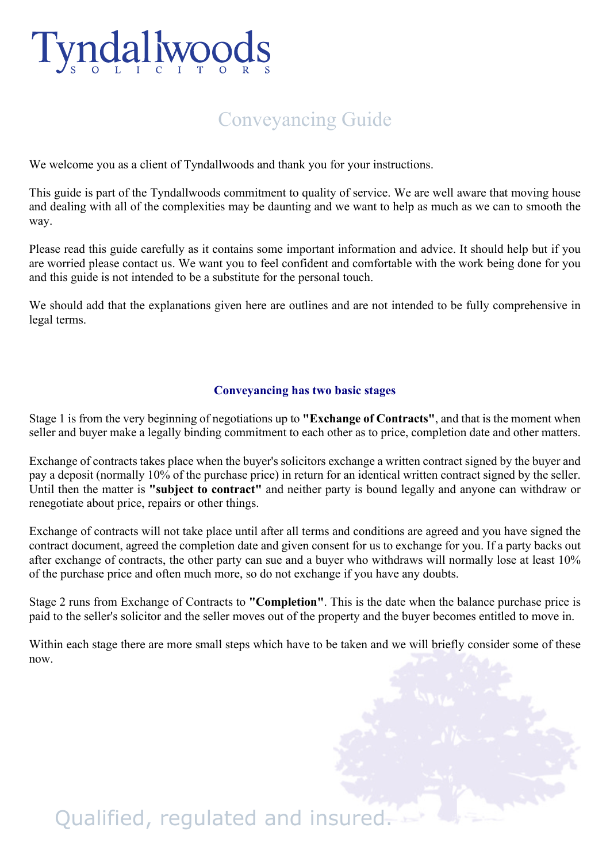

## Conveyancing Guide

We welcome you as a client of Tyndallwoods and thank you for your instructions.

This guide is part of the Tyndallwoods commitment to quality of service. We are well aware that moving house and dealing with all of the complexities may be daunting and we want to help as much as we can to smooth the way.

Please read this guide carefully as it contains some important information and advice. It should help but if you are worried please contact us. We want you to feel confident and comfortable with the work being done for you and this guide is not intended to be a substitute for the personal touch.

We should add that the explanations given here are outlines and are not intended to be fully comprehensive in legal terms.

#### **Conveyancing has two basic stages**

Stage 1 is from the very beginning of negotiations up to **"Exchange of Contracts"**, and that is the moment when seller and buyer make a legally binding commitment to each other as to price, completion date and other matters.

Exchange of contracts takes place when the buyer's solicitors exchange a written contract signed by the buyer and pay a deposit (normally 10% of the purchase price) in return for an identical written contract signed by the seller. Until then the matter is **"subject to contract"** and neither party is bound legally and anyone can withdraw or renegotiate about price, repairs or other things.

Exchange of contracts will not take place until after all terms and conditions are agreed and you have signed the contract document, agreed the completion date and given consent for us to exchange for you. If a party backs out after exchange of contracts, the other party can sue and a buyer who withdraws will normally lose at least 10% of the purchase price and often much more, so do not exchange if you have any doubts.

Stage 2 runs from Exchange of Contracts to **"Completion"**. This is the date when the balance purchase price is paid to the seller's solicitor and the seller moves out of the property and the buyer becomes entitled to move in.

Within each stage there are more small steps which have to be taken and we will briefly consider some of these now.

# Qualified, regulated and insured.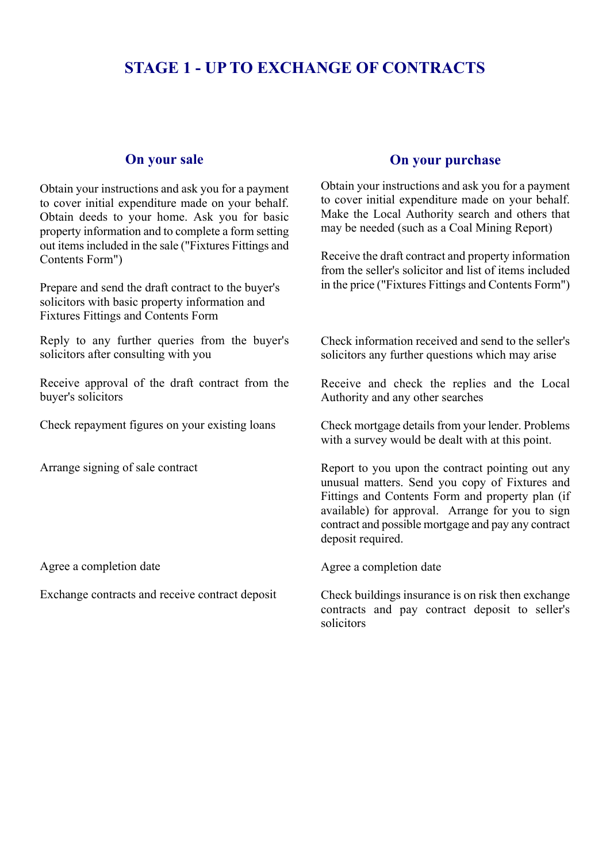### **STAGE 1 - UP TO EXCHANGE OF CONTRACTS**

#### **On your sale**

Obtain your instructions and ask you for a payment to cover initial expenditure made on your behalf. Obtain deeds to your home. Ask you for basic property information and to complete a form setting out items included in the sale ("Fixtures Fittings and Contents Form")

Prepare and send the draft contract to the buyer's solicitors with basic property information and Fixtures Fittings and Contents Form

Reply to any further queries from the buyer's solicitors after consulting with you

Receive approval of the draft contract from the buyer's solicitors

Check repayment figures on your existing loans

Arrange signing of sale contract

Agree a completion date

Exchange contracts and receive contract deposit

#### **On your purchase**

Obtain your instructions and ask you for a payment to cover initial expenditure made on your behalf. Make the Local Authority search and others that may be needed (such as a Coal Mining Report)

Receive the draft contract and property information from the seller's solicitor and list of items included in the price ("Fixtures Fittings and Contents Form")

Check information received and send to the seller's solicitors any further questions which may arise

Receive and check the replies and the Local Authority and any other searches

Check mortgage details from your lender. Problems with a survey would be dealt with at this point.

Report to you upon the contract pointing out any unusual matters. Send you copy of Fixtures and Fittings and Contents Form and property plan (if available) for approval. Arrange for you to sign contract and possible mortgage and pay any contract deposit required.

Agree a completion date

Check buildings insurance is on risk then exchange contracts and pay contract deposit to seller's solicitors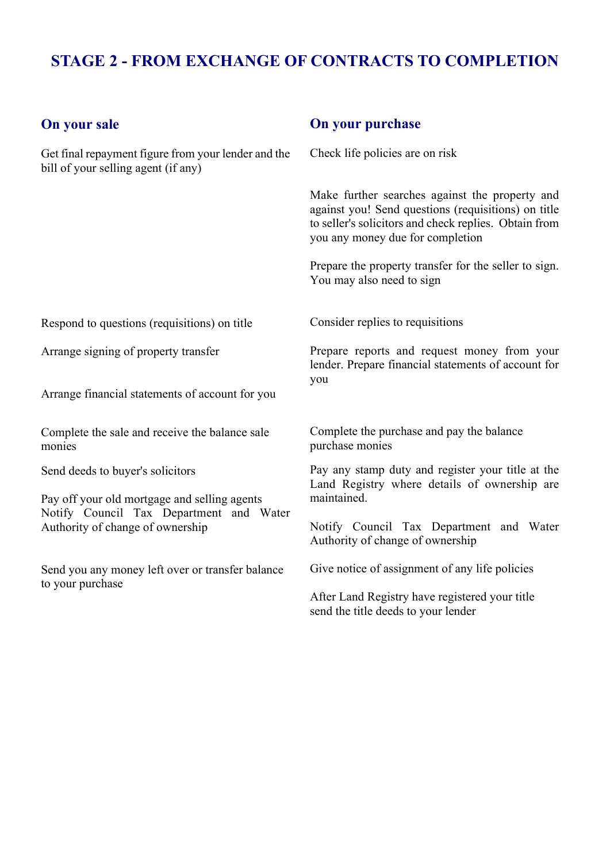## **STAGE 2 - FROM EXCHANGE OF CONTRACTS TO COMPLETION**

#### **On your sale**

Get final repayment figure from your lender and the bill of your selling agent (if any)

#### **On your purchase**

Check life policies are on risk

Make further searches against the property and against you! Send questions (requisitions) on title to seller's solicitors and check replies. Obtain from you any money due for completion

Prepare the property transfer for the seller to sign. You may also need to sign

Respond to questions (requisitions) on title

Arrange signing of property transfer

Arrange financial statements of account for you

Complete the sale and receive the balance sale monies

Send deeds to buyer's solicitors

Pay off your old mortgage and selling agents Notify Council Tax Department and Water Authority of change of ownership

Send you any money left over or transfer balance to your purchase

Consider replies to requisitions

Prepare reports and request money from your lender. Prepare financial statements of account for you

Complete the purchase and pay the balance purchase monies

Pay any stamp duty and register your title at the Land Registry where details of ownership are maintained.

Notify Council Tax Department and Water Authority of change of ownership

Give notice of assignment of any life policies

After Land Registry have registered your title send the title deeds to your lender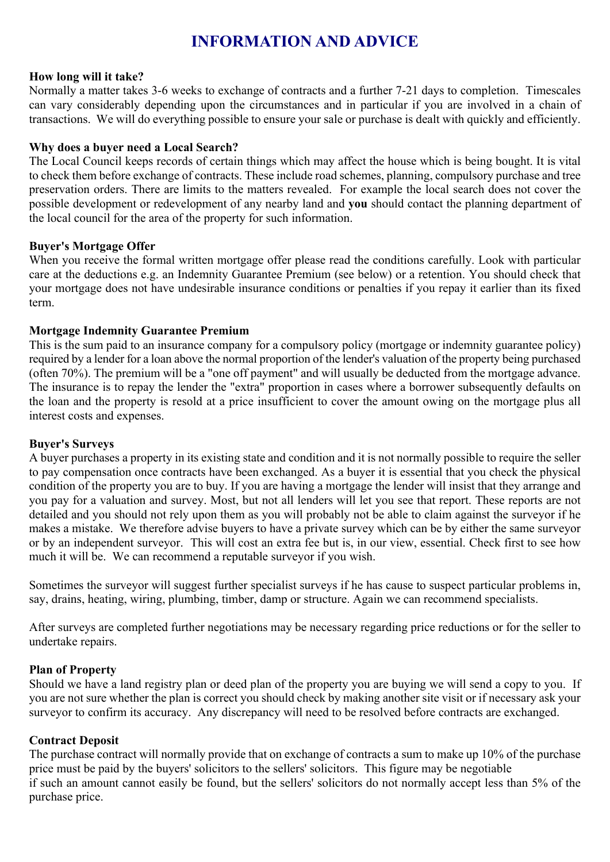## **INFORMATION AND ADVICE**

#### **How long will it take?**

Normally a matter takes 3-6 weeks to exchange of contracts and a further 7-21 days to completion. Timescales can vary considerably depending upon the circumstances and in particular if you are involved in a chain of transactions. We will do everything possible to ensure your sale or purchase is dealt with quickly and efficiently.

#### **Why does a buyer need a Local Search?**

The Local Council keeps records of certain things which may affect the house which is being bought. It is vital to check them before exchange of contracts. These include road schemes, planning, compulsory purchase and tree preservation orders. There are limits to the matters revealed. For example the local search does not cover the possible development or redevelopment of any nearby land and **you** should contact the planning department of the local council for the area of the property for such information.

#### **Buyer's Mortgage Offer**

When you receive the formal written mortgage offer please read the conditions carefully. Look with particular care at the deductions e.g. an Indemnity Guarantee Premium (see below) or a retention. You should check that your mortgage does not have undesirable insurance conditions or penalties if you repay it earlier than its fixed term.

#### **Mortgage Indemnity Guarantee Premium**

This is the sum paid to an insurance company for a compulsory policy (mortgage or indemnity guarantee policy) required by a lender for a loan above the normal proportion of the lender's valuation of the property being purchased (often 70%). The premium will be a "one off payment" and will usually be deducted from the mortgage advance. The insurance is to repay the lender the "extra" proportion in cases where a borrower subsequently defaults on the loan and the property is resold at a price insufficient to cover the amount owing on the mortgage plus all interest costs and expenses.

#### **Buyer's Surveys**

A buyer purchases a property in its existing state and condition and it is not normally possible to require the seller to pay compensation once contracts have been exchanged. As a buyer it is essential that you check the physical condition of the property you are to buy. If you are having a mortgage the lender will insist that they arrange and you pay for a valuation and survey. Most, but not all lenders will let you see that report. These reports are not detailed and you should not rely upon them as you will probably not be able to claim against the surveyor if he makes a mistake. We therefore advise buyers to have a private survey which can be by either the same surveyor or by an independent surveyor. This will cost an extra fee but is, in our view, essential. Check first to see how much it will be. We can recommend a reputable surveyor if you wish.

Sometimes the surveyor will suggest further specialist surveys if he has cause to suspect particular problems in, say, drains, heating, wiring, plumbing, timber, damp or structure. Again we can recommend specialists.

After surveys are completed further negotiations may be necessary regarding price reductions or for the seller to undertake repairs.

#### **Plan of Property**

Should we have a land registry plan or deed plan of the property you are buying we will send a copy to you. If you are not sure whether the plan is correct you should check by making another site visit or if necessary ask your surveyor to confirm its accuracy. Any discrepancy will need to be resolved before contracts are exchanged.

#### **Contract Deposit**

The purchase contract will normally provide that on exchange of contracts a sum to make up 10% of the purchase price must be paid by the buyers' solicitors to the sellers' solicitors. This figure may be negotiable if such an amount cannot easily be found, but the sellers' solicitors do not normally accept less than 5% of the purchase price.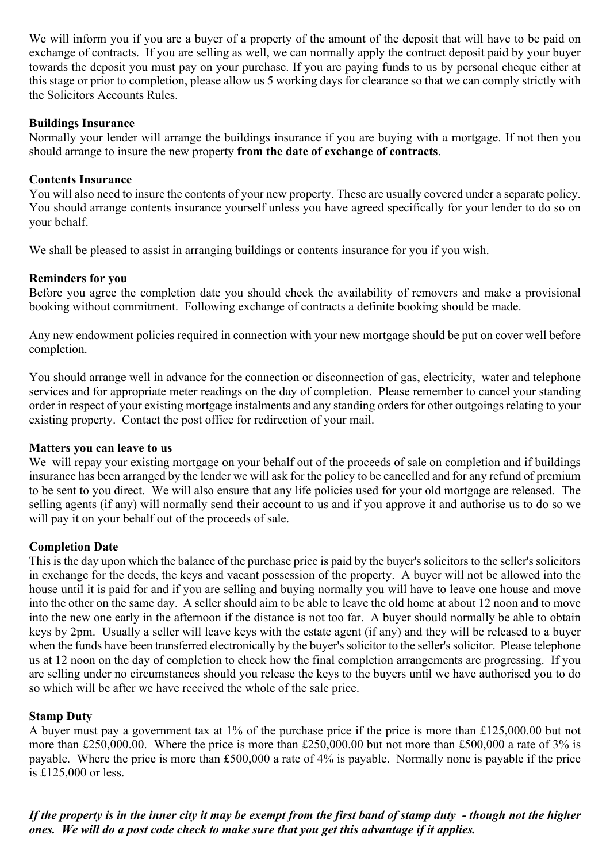We will inform you if you are a buyer of a property of the amount of the deposit that will have to be paid on exchange of contracts. If you are selling as well, we can normally apply the contract deposit paid by your buyer towards the deposit you must pay on your purchase. If you are paying funds to us by personal cheque either at this stage or prior to completion, please allow us 5 working days for clearance so that we can comply strictly with the Solicitors Accounts Rules.

#### **Buildings Insurance**

Normally your lender will arrange the buildings insurance if you are buying with a mortgage. If not then you should arrange to insure the new property **from the date of exchange of contracts**.

#### **Contents Insurance**

You will also need to insure the contents of your new property. These are usually covered under a separate policy. You should arrange contents insurance yourself unless you have agreed specifically for your lender to do so on your behalf.

We shall be pleased to assist in arranging buildings or contents insurance for you if you wish.

#### **Reminders for you**

Before you agree the completion date you should check the availability of removers and make a provisional booking without commitment. Following exchange of contracts a definite booking should be made.

Any new endowment policies required in connection with your new mortgage should be put on cover well before completion.

You should arrange well in advance for the connection or disconnection of gas, electricity, water and telephone services and for appropriate meter readings on the day of completion. Please remember to cancel your standing order in respect of your existing mortgage instalments and any standing orders for other outgoings relating to your existing property. Contact the post office for redirection of your mail.

#### **Matters you can leave to us**

We will repay your existing mortgage on your behalf out of the proceeds of sale on completion and if buildings insurance has been arranged by the lender we will ask for the policy to be cancelled and for any refund of premium to be sent to you direct. We will also ensure that any life policies used for your old mortgage are released. The selling agents (if any) will normally send their account to us and if you approve it and authorise us to do so we will pay it on your behalf out of the proceeds of sale.

#### **Completion Date**

This is the day upon which the balance of the purchase price is paid by the buyer's solicitors to the seller's solicitors in exchange for the deeds, the keys and vacant possession of the property. A buyer will not be allowed into the house until it is paid for and if you are selling and buying normally you will have to leave one house and move into the other on the same day. A seller should aim to be able to leave the old home at about 12 noon and to move into the new one early in the afternoon if the distance is not too far. A buyer should normally be able to obtain keys by 2pm. Usually a seller will leave keys with the estate agent (if any) and they will be released to a buyer when the funds have been transferred electronically by the buyer's solicitor to the seller's solicitor. Please telephone us at 12 noon on the day of completion to check how the final completion arrangements are progressing. If you are selling under no circumstances should you release the keys to the buyers until we have authorised you to do so which will be after we have received the whole of the sale price.

#### **Stamp Duty**

A buyer must pay a government tax at 1% of the purchase price if the price is more than £125,000.00 but not more than £250,000.00. Where the price is more than £250,000.00 but not more than £500,000 a rate of 3% is payable. Where the price is more than £500,000 a rate of 4% is payable. Normally none is payable if the price is £125,000 or less.

*If the property is in the inner city it may be exempt from the first band of stamp duty - though not the higher ones. We will do a post code check to make sure that you get this advantage if it applies.*